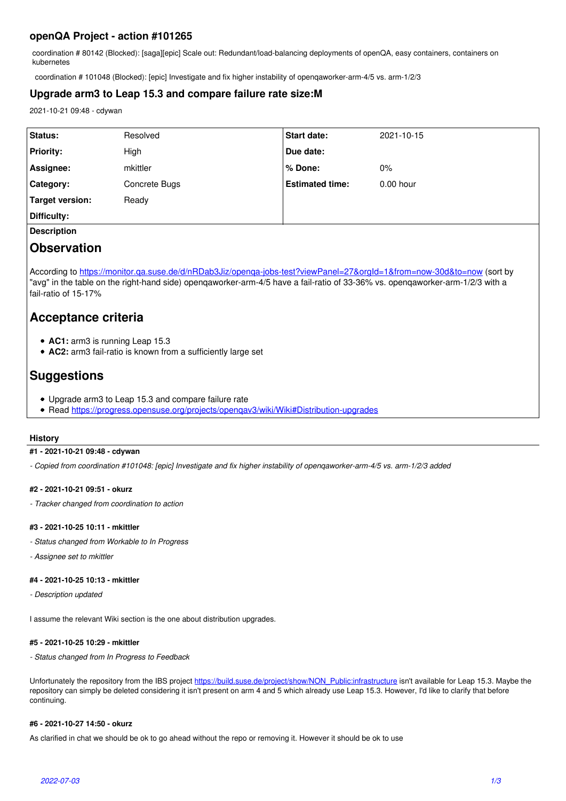## **openQA Project - action #101265**

coordination # 80142 (Blocked): [saga][epic] Scale out: Redundant/load-balancing deployments of openQA, easy containers, containers on kubernetes

coordination # 101048 (Blocked): [epic] Investigate and fix higher instability of openqaworker-arm-4/5 vs. arm-1/2/3

## **Upgrade arm3 to Leap 15.3 and compare failure rate size:M**

2021-10-21 09:48 - cdywan

| Status:          | Resolved      | <b>Start date:</b>     | 2021-10-15  |
|------------------|---------------|------------------------|-------------|
| <b>Priority:</b> | High          | Due date:              |             |
| Assignee:        | mkittler      | % Done:                | 0%          |
| <b>Category:</b> | Concrete Bugs | <b>Estimated time:</b> | $0.00$ hour |
| Target version:  | Ready         |                        |             |
| Difficulty:      |               |                        |             |

**Description**

# **Observation**

According to https://monitor.ga.suse.de/d/nRDab3Jiz/openga-jobs-test?viewPanel=27&orgId=1&from=now-30d&to=now (sort by "avg" in the table on the right-hand side) openqaworker-arm-4/5 have a fail-ratio of 33-36% vs. openqaworker-arm-1/2/3 with a fail-ratio of 15-17%

# **Acceptance criteria**

- **AC1:** arm3 is running Leap 15.3
- **AC2:** arm3 fail-ratio is known from a sufficiently large set

# **Suggestions**

- Upgrade arm3 to Leap 15.3 and compare failure rate
- Read<https://progress.opensuse.org/projects/openqav3/wiki/Wiki#Distribution-upgrades>

## **History**

## **#1 - 2021-10-21 09:48 - cdywan**

*- Copied from coordination #101048: [epic] Investigate and fix higher instability of openqaworker-arm-4/5 vs. arm-1/2/3 added*

## **#2 - 2021-10-21 09:51 - okurz**

*- Tracker changed from coordination to action*

## **#3 - 2021-10-25 10:11 - mkittler**

- *Status changed from Workable to In Progress*
- *Assignee set to mkittler*

## **#4 - 2021-10-25 10:13 - mkittler**

*- Description updated*

I assume the relevant Wiki section is the one about distribution upgrades.

## **#5 - 2021-10-25 10:29 - mkittler**

*- Status changed from In Progress to Feedback*

Unfortunately the repository from the IBS project [https://build.suse.de/project/show/NON\\_Public:infrastructure](https://build.suse.de/project/show/NON_Public:infrastructure) isn't available for Leap 15.3. Maybe the repository can simply be deleted considering it isn't present on arm 4 and 5 which already use Leap 15.3. However, I'd like to clarify that before continuing.

## **#6 - 2021-10-27 14:50 - okurz**

As clarified in chat we should be ok to go ahead without the repo or removing it. However it should be ok to use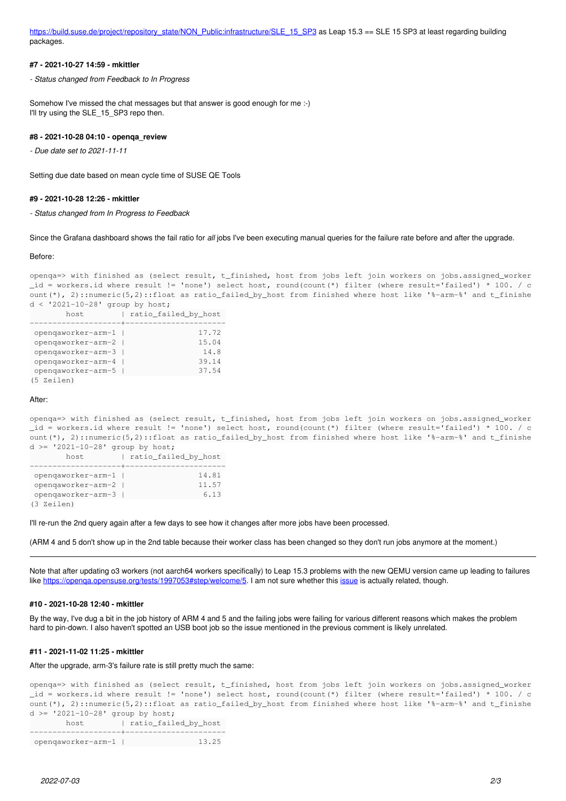[https://build.suse.de/project/repository\\_state/NON\\_Public:infrastructure/SLE\\_15\\_SP3](https://build.suse.de/project/repository_state/NON_Public:infrastructure/SLE_15_SP3) as Leap 15.3 == SLE 15 SP3 at least regarding building packages.

#### **#7 - 2021-10-27 14:59 - mkittler**

*- Status changed from Feedback to In Progress*

Somehow I've missed the chat messages but that answer is good enough for me :-) I'll try using the SLE 15 SP3 repo then.

#### **#8 - 2021-10-28 04:10 - openqa\_review**

*- Due date set to 2021-11-11*

Setting due date based on mean cycle time of SUSE QE Tools

#### **#9 - 2021-10-28 12:26 - mkittler**

*- Status changed from In Progress to Feedback*

Since the Grafana dashboard shows the fail ratio for *all* jobs I've been executing manual queries for the failure rate before and after the upgrade.

#### Before:

```
openqa=> with finished as (select result, t_finished, host from jobs left join workers on jobs.assigned_worker
_id = workers.id where result != 'none') select host, round(count(*) filter (where result='failed') * 100. / c
ount(*), 2)::numeric(5,2)::float as ratio_failed_by_host from finished where host like '%-arm-%' and t_finishe
d < '2021-10-28' group by host;
```

| host               |  | ratio_failed_by_host |
|--------------------|--|----------------------|
|                    |  |                      |
| opengaworker-arm-1 |  | 17.72                |
| opengaworker-arm-2 |  | 15.04                |
| opengaworker-arm-3 |  | 14.8                 |
| opengaworker-arm-4 |  | 39.14                |
| opengaworker-arm-5 |  | 37.54                |
| (5 Zeilen)         |  |                      |

#### After:

openqa=> with finished as (select result, t\_finished, host from jobs left join workers on jobs.assigned\_worker \_id = workers.id where result != 'none') select host, round(count(\*) filter (where result='failed') \* 100. / c ount(\*), 2)::numeric(5,2)::float as ratio\_failed\_by\_host from finished where host like '%-arm-%' and t\_finishe  $d$  >= '2021-10-28' group by host;

| host.              | ratio_failed_by_host |
|--------------------|----------------------|
|                    |                      |
| opengaworker-arm-1 | 14.81                |
| opengaworker-arm-2 | 11.57                |
| opengaworker-arm-3 | 6.13                 |
| (3 Zeilen)         |                      |

I'll re-run the 2nd query again after a few days to see how it changes after more jobs have been processed.

(ARM 4 and 5 don't show up in the 2nd table because their worker class has been changed so they don't run jobs anymore at the moment.)

Note that after updating o3 workers (not aarch64 workers specifically) to Leap 15.3 problems with the new QEMU version came up leading to failures like<https://openqa.opensuse.org/tests/1997053#step/welcome/5>. I am not sure whether this [issue](https://bugzilla.suse.com/show_bug.cgi?id=1192115) is actually related, though.

#### **#10 - 2021-10-28 12:40 - mkittler**

By the way, I've dug a bit in the job history of ARM 4 and 5 and the failing jobs were failing for various different reasons which makes the problem hard to pin-down. I also haven't spotted an USB boot job so the issue mentioned in the previous comment is likely unrelated.

#### **#11 - 2021-11-02 11:25 - mkittler**

#### After the upgrade, arm-3's failure rate is still pretty much the same:

openqa=> with finished as (select result, t\_finished, host from jobs left join workers on jobs.assigned\_worker \_id = workers.id where result != 'none') select host, round(count(\*) filter (where result='failed') \* 100. / c ount(\*), 2)::numeric(5,2)::float as ratio\_failed\_by\_host from finished where host like '%-arm-%' and t\_finishe  $d \geq 12021-10-28'$  group by host;

```
host | ratio_failed_by_host
--------------------+----------------------
```

```
 openqaworker-arm-1 |                13.25
```